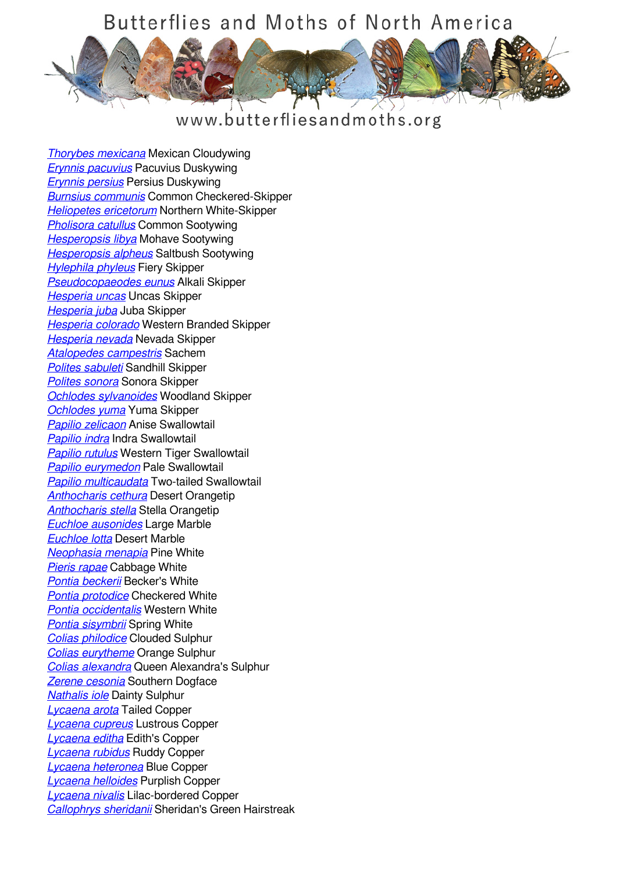## Butterflies and Moths of North America



## www.butterfliesandmoths.org

*[Thorybes mexicana](/species/Thorybes-mexicana)* Mexican Cloudywing *[Erynnis pacuvius](/species/Erynnis-pacuvius)* Pacuvius Duskywing *[Erynnis persius](/species/Erynnis-persius)* Persius Duskywing *[Burnsius communis](/species/Pyrgus-communis)* Common Checkered-Skipper *[Heliopetes ericetorum](/species/Heliopetes-ericetorum)* Northern White-Skipper *[Pholisora catullus](/species/Pholisora-catullus)* Common Sootywing *[Hesperopsis libya](/species/Hesperopsis-libya)* Mohave Sootywing *[Hesperopsis alpheus](/species/Hesperopsis-alpheus)* Saltbush Sootywing *[Hylephila phyleus](/species/Hylephila-phyleus)* Fiery Skipper *[Pseudocopaeodes eunus](/species/Pseudocopaeodes-eunus)* Alkali Skipper *[Hesperia uncas](/species/Hesperia-uncas)* Uncas Skipper *[Hesperia juba](/species/Hesperia-juba)* Juba Skipper *[Hesperia colorado](/species/Hesperia-colorado)* Western Branded Skipper *[Hesperia nevada](/species/Hesperia-nevada)* Nevada Skipper *[Atalopedes campestris](/species/Atalopedes-campestris)* Sachem *[Polites sabuleti](/species/Polites-sabuleti)* Sandhill Skipper *[Polites sonora](/species/Polites-sonora)* Sonora Skipper *[Ochlodes sylvanoides](/species/Ochlodes-sylvanoides)* Woodland Skipper *[Ochlodes yuma](/species/Ochlodes-yuma)* Yuma Skipper *[Papilio zelicaon](/species/Papilio-zelicaon)* Anise Swallowtail *[Papilio indra](/species/Papilio-indra)* Indra Swallowtail *[Papilio rutulus](/species/Papilio-rutulus)* Western Tiger Swallowtail *[Papilio eurymedon](/species/Papilio-eurymedon)* Pale Swallowtail *[Papilio multicaudata](/species/Papilio-multicaudata)* Two-tailed Swallowtail *[Anthocharis cethura](/species/Anthocharis-cethura)* Desert Orangetip *[Anthocharis stella](/species/Anthocharis-stella)* Stella Orangetip *[Euchloe ausonides](/species/Euchloe-ausonides)* Large Marble *[Euchloe lotta](/species/Euchloe-lotta)* Desert Marble *[Neophasia menapia](/species/Neophasia-menapia)* Pine White *[Pieris rapae](/species/Pieris-rapae)* Cabbage White *[Pontia beckerii](/species/Pontia-beckerii)* Becker's White *[Pontia protodice](/species/Pontia-protodice)* Checkered White *[Pontia occidentalis](/species/Pontia-occidentalis)* Western White *[Pontia sisymbrii](/species/Pontia-sisymbrii)* Spring White *[Colias philodice](/species/Colias-philodice)* Clouded Sulphur *[Colias eurytheme](/species/Colias-eurytheme)* Orange Sulphur *[Colias alexandra](/species/Colias-alexandra)* Queen Alexandra's Sulphur *[Zerene cesonia](/species/Zerene-cesonia)* Southern Dogface *[Nathalis iole](/species/Nathalis-iole)* Dainty Sulphur *[Lycaena arota](/species/Lycaena-arota)* Tailed Copper *[Lycaena cupreus](/species/Lycaena-cupreus)* Lustrous Copper *[Lycaena editha](/species/Lycaena-editha)* Edith's Copper *[Lycaena rubidus](/species/Lycaena-rubidus)* Ruddy Copper *[Lycaena heteronea](/species/Lycaena-heteronea)* Blue Copper *[Lycaena helloides](/species/Lycaena-helloides)* Purplish Copper *[Lycaena nivalis](/species/Lycaena-nivalis)* Lilac-bordered Copper *[Callophrys sheridanii](/species/Callophrys-sheridanii)* Sheridan's Green Hairstreak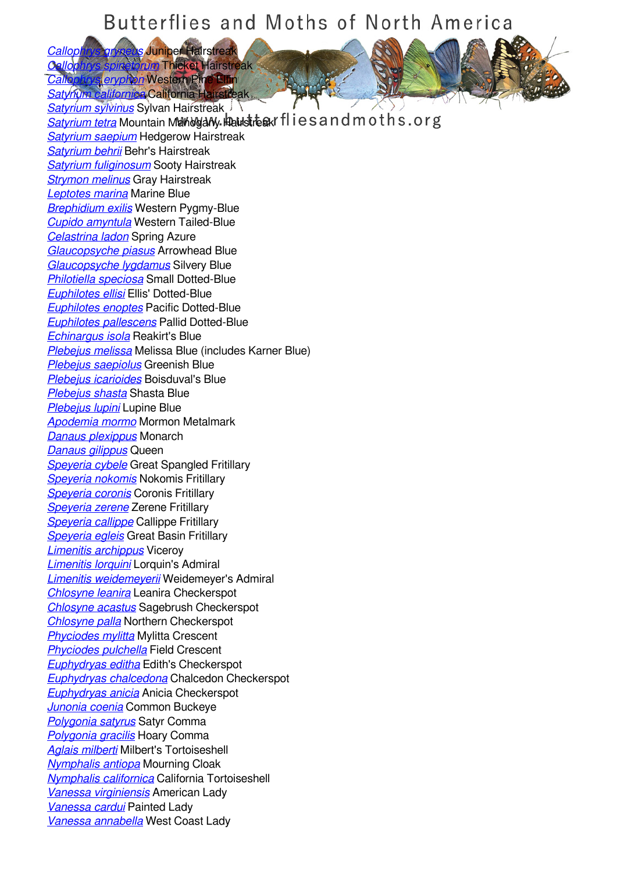## Butterflies and Moths of North America

*[Callophrys gryneus](/species/Callophrys-gryneus)* Juniper Hairstreak *Cally Thicket Hairstreak* 

**Callophon** Western Pine Elfin **[Satyrium californica](/species/Satyrium-californica)** California Hairstreak *[Satyrium sylvinus](/species/Satyrium-sylvinus)* Sylvan Hairstreak

**[Satyrium tetra](/species/Satyrium-tetra)** Mountain Mahogany Haustreak flies and moths.org *[Satyrium saepium](/species/Satyrium-saepium)* Hedgerow Hairstreak *[Satyrium behrii](/species/Satyrium-behrii)* Behr's Hairstreak *[Satyrium fuliginosum](/species/Satyrium-fuliginosum)* Sooty Hairstreak *[Strymon melinus](/species/Strymon-melinus)* Gray Hairstreak *[Leptotes marina](/species/Leptotes-marina)* Marine Blue *[Brephidium exilis](/species/Brephidium-exilis)* Western Pygmy-Blue *[Cupido amyntula](/species/Cupido-amyntula)* Western Tailed-Blue *[Celastrina ladon](/species/Celastrina-ladon)* Spring Azure *[Glaucopsyche piasus](/species/Glaucopsyche-piasus)* Arrowhead Blue *[Glaucopsyche lygdamus](/species/Glaucopsyche-lygdamus)* Silvery Blue *[Philotiella speciosa](/species/Philotiella-speciosa)* Small Dotted-Blue *[Euphilotes ellisi](/species/Euphilotes-ellisi)* Ellis' Dotted-Blue *[Euphilotes enoptes](/species/Euphilotes-enoptes)* Pacific Dotted-Blue *[Euphilotes pallescens](/species/Euphilotes-pallescens)* Pallid Dotted-Blue *[Echinargus isola](/species/Echinargus-isola)* Reakirt's Blue *[Plebejus melissa](/species/Plebejus-melissa)* Melissa Blue (includes Karner Blue) *[Plebejus saepiolus](/species/Plebejus-saepiolus)* Greenish Blue *[Plebejus icarioides](/species/Plebejus-icarioides)* Boisduval's Blue *[Plebejus shasta](/species/Plebejus-shasta)* Shasta Blue *[Plebejus lupini](/species/Plebejus-lupini)* Lupine Blue *[Apodemia mormo](/species/Apodemia-mormo)* Mormon Metalmark *[Danaus plexippus](/species/Danaus-plexippus)* Monarch *[Danaus gilippus](/species/Danaus-gilippus)* Queen *[Speyeria cybele](/species/Speyeria-cybele)* Great Spangled Fritillary *[Speyeria nokomis](/species/Speyeria-nokomis)* Nokomis Fritillary *[Speyeria coronis](/species/Speyeria-coronis)* Coronis Fritillary *[Speyeria zerene](/species/Speyeria-zerene)* Zerene Fritillary *[Speyeria callippe](/species/Speyeria-callippe)* Callippe Fritillary *[Speyeria egleis](/species/Speyeria-egleis)* Great Basin Fritillary *[Limenitis archippus](/species/Limenitis-archippus)* Viceroy *[Limenitis lorquini](/species/Limenitis-lorquini)* Lorquin's Admiral *[Limenitis weidemeyerii](/species/Limenitis-weidemeyerii)* Weidemeyer's Admiral *[Chlosyne leanira](/species/Chlosyne-leanira)* Leanira Checkerspot *[Chlosyne acastus](/species/Chlosyne-acastus)* Sagebrush Checkerspot *[Chlosyne palla](/species/Chlosyne-palla)* Northern Checkerspot *[Phyciodes mylitta](/species/Phyciodes-mylitta)* Mylitta Crescent *[Phyciodes pulchella](/species/Phyciodes-pulchella)* Field Crescent *[Euphydryas editha](/species/Euphydryas-editha)* Edith's Checkerspot *[Euphydryas chalcedona](/species/Euphydryas-chalcedona)* Chalcedon Checkerspot *[Euphydryas anicia](/species/Euphydryas-anicia)* Anicia Checkerspot *[Junonia coenia](/species/Junonia-coenia)* Common Buckeye *[Polygonia satyrus](/species/Polygonia-satyrus)* Satyr Comma *[Polygonia gracilis](/species/Polygonia-gracilis)* Hoary Comma *[Aglais milberti](/species/Aglais-milberti)* Milbert's Tortoiseshell *[Nymphalis antiopa](/species/Nymphalis-antiopa)* Mourning Cloak *[Nymphalis californica](/species/Nymphalis-californica)* California Tortoiseshell *[Vanessa virginiensis](/species/Vanessa-virginiensis)* American Lady *[Vanessa cardui](/species/Vanessa-cardui)* Painted Lady *[Vanessa annabella](/species/Vanessa-annabella)* West Coast Lady